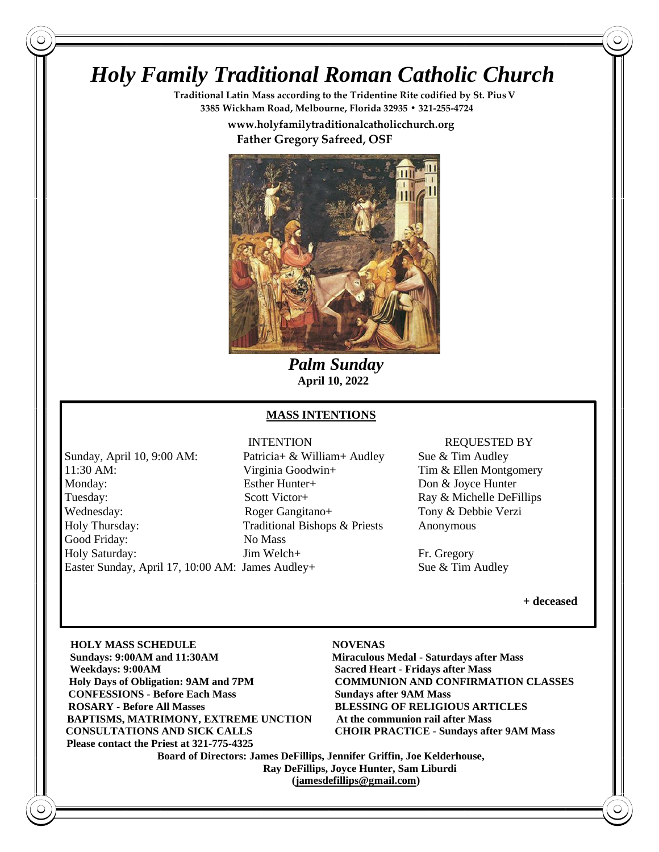# *Holy Family Traditional Roman Catholic Church*

**Traditional Latin Mass according to the Tridentine Rite codified by St. PiusV 3385 Wickham Road, Melbourne, Florida 32935 • 321-255-4724**

 **www.holyfamilytraditionalcatholicchurch.org**

 **Father Gregory Safreed, OSF**



 *Palm Sunday*  **April 10, 2022**

### **MASS INTENTIONS**

Sunday, April 10, 9:00 AM: Patricia+ & William+ Audley Sue & Tim Audley 11:30 AM: Virginia Goodwin+ Tim & Ellen Montgomery Monday: Esther Hunter+ Don & Joyce Hunter Tuesday: Scott Victor + Ray & Michelle DeFillips Wednesday: Roger Gangitano+ Tony & Debbie Verzi Holy Thursday: Traditional Bishops & Priests Anonymous Good Friday: No Mass Holy Saturday: Jim Welch+ Fr. Gregory Easter Sunday, April 17, 10:00 AM: James Audley+ Sue & Tim Audley

# INTENTION REQUESTED BY

**+ deceased** 

**HOLY MASS SCHEDULE NOVENAS Sun Sundays: 9:00AM and 11:30AM Miraculous Medal - Saturdays after Mass Wee Weekdays: 9:00AM Sacred Heart - Fridays after Mass Holy Days of Obligation: 9AM and 7PM COMMUNION AND CONFIRMATION CLASSES CONFESSIONS - Before Each Mass Sundays after 9AM Mass RO ROSARY - Before All Masses BLESSING OF RELIGIOUS ARTICLES BAPTISMS, MATRIMONY, EXTREME UNCTION At the communion rail after Mass CO CONSULTATIONS AND SICK CALLS CHOIR PRACTICE - Sundays after 9AM Mass** Please contact the Priest at 321-775-4325

 **Board of Directors: James DeFillips, Jennifer Griffin, Joe Kelderhouse, Ray DeFillips, Joyce Hunter, Sam Liburdi [\(jamesdefillips@gmail.com\)](mailto:jamesdefillips@gmail.com)**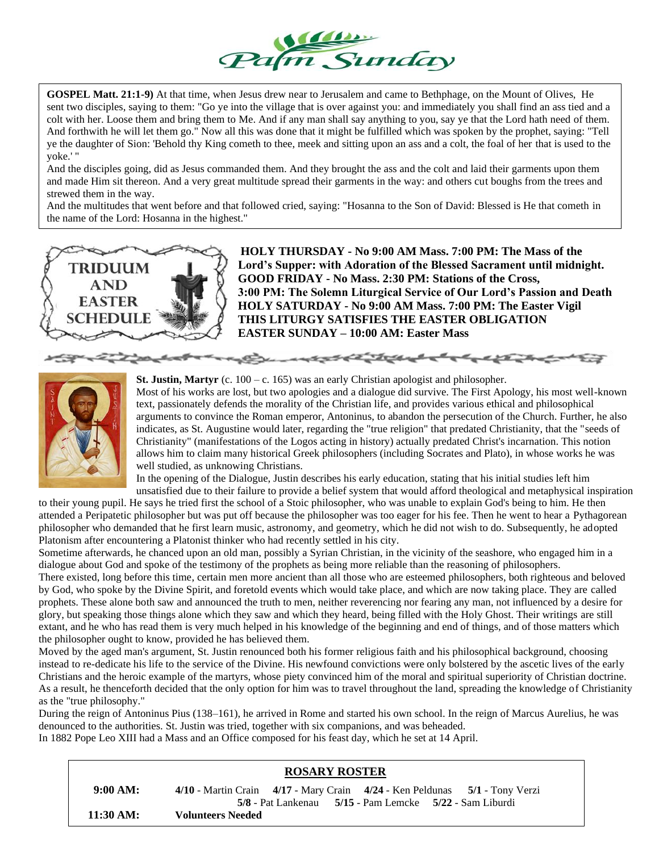

**GOSPEL Matt. 21:1-9)** At that time, when Jesus drew near to Jerusalem and came to Bethphage, on the Mount of Olives, He sent two disciples, saying to them: "Go ye into the village that is over against you: and immediately you shall find an ass tied and a colt with her. Loose them and bring them to Me. And if any man shall say anything to you, say ye that the Lord hath need of them. And forthwith he will let them go." Now all this was done that it might be fulfilled which was spoken by the prophet, saying: "Tell ye the daughter of Sion: 'Behold thy King cometh to thee, meek and sitting upon an ass and a colt, the foal of her that is used to the yoke.' "

And the disciples going, did as Jesus commanded them. And they brought the ass and the colt and laid their garments upon them and made Him sit thereon. And a very great multitude spread their garments in the way: and others cut boughs from the trees and strewed them in the way.

And the multitudes that went before and that followed cried, saying: "Hosanna to the Son of David: Blessed is He that cometh in the name of the Lord: Hosanna in the highest."



**HOLY THURSDAY - No 9:00 AM Mass. 7:00 PM: The Mass of the Lord's Supper: with Adoration of the Blessed Sacrament until midnight. GOOD FRIDAY - No Mass. 2:30 PM: Stations of the Cross, 3:00 PM: The Solemn Liturgical Service of Our Lord's Passion and Death HOLY SATURDAY - No 9:00 AM Mass. 7:00 PM: The Easter Vigil THIS LITURGY SATISFIES THE EASTER OBLIGATION EASTER SUNDAY – 10:00 AM: Easter Mass**



**St. Justin, Martyr** (c. 100 – c. 165) was an early Christian apologist and philosopher.

Most of his works are lost, but two apologies and a dialogue did survive. The First Apology, his most well-known text, passionately defends the morality of the Christian life, and provides various ethical and philosophical arguments to convince the Roman emperor, Antoninus, to abandon the persecution of the Church. Further, he also indicates, as St. Augustine would later, regarding the "true religion" that predated Christianity, that the "seeds of Christianity" (manifestations of the Logos acting in history) actually predated Christ's incarnation. This notion allows him to claim many historical Greek philosophers (including Socrates and Plato), in whose works he was well studied, as unknowing Christians.

In the opening of the Dialogue, Justin describes his early education, stating that his initial studies left him unsatisfied due to their failure to provide a belief system that would afford theological and metaphysical inspiration

to their young pupil. He says he tried first the school of a Stoic philosopher, who was unable to explain God's being to him. He then attended a Peripatetic philosopher but was put off because the philosopher was too eager for his fee. Then he went to hear a Pythagorean philosopher who demanded that he first learn music, astronomy, and geometry, which he did not wish to do. Subsequently, he adopted Platonism after encountering a Platonist thinker who had recently settled in his city.

Sometime afterwards, he chanced upon an old man, possibly a Syrian Christian, in the vicinity of the seashore, who engaged him in a dialogue about God and spoke of the testimony of the prophets as being more reliable than the reasoning of philosophers. There existed, long before this time, certain men more ancient than all those who are esteemed philosophers, both righteous and beloved by God, who spoke by the Divine Spirit, and foretold events which would take place, and which are now taking place. They are called prophets. These alone both saw and announced the truth to men, neither reverencing nor fearing any man, not influenced by a desire for glory, but speaking those things alone which they saw and which they heard, being filled with the Holy Ghost. Their writings are still extant, and he who has read them is very much helped in his knowledge of the beginning and end of things, and of those matters which the philosopher ought to know, provided he has believed them.

Moved by the aged man's argument, St. Justin renounced both his former religious faith and his philosophical background, choosing instead to re-dedicate his life to the service of the Divine. His newfound convictions were only bolstered by the ascetic lives of the early Christians and the heroic example of the martyrs, whose piety convinced him of the moral and spiritual superiority of Christian doctrine. As a result, he thenceforth decided that the only option for him was to travel throughout the land, spreading the knowledge of Christianity as the "true philosophy."

During the reign of Antoninus Pius (138–161), he arrived in Rome and started his own school. In the reign of Marcus Aurelius, he was denounced to the authorities. St. Justin was tried, together with six companions, and was beheaded.

In 1882 Pope Leo XIII had a Mass and an Office composed for his feast day, which he set at 14 April.

# **ROSARY ROSTER**

 **9:00 AM: 4/10** - Martin Crain **4/17** - Mary Crain **4/24** - Ken Peldunas **5/1** - Tony Verzi **5/8** - Pat Lankenau **5/15** - Pam Lemcke **5/22** - Sam Liburdi  **11:30 AM: Volunteers Needed**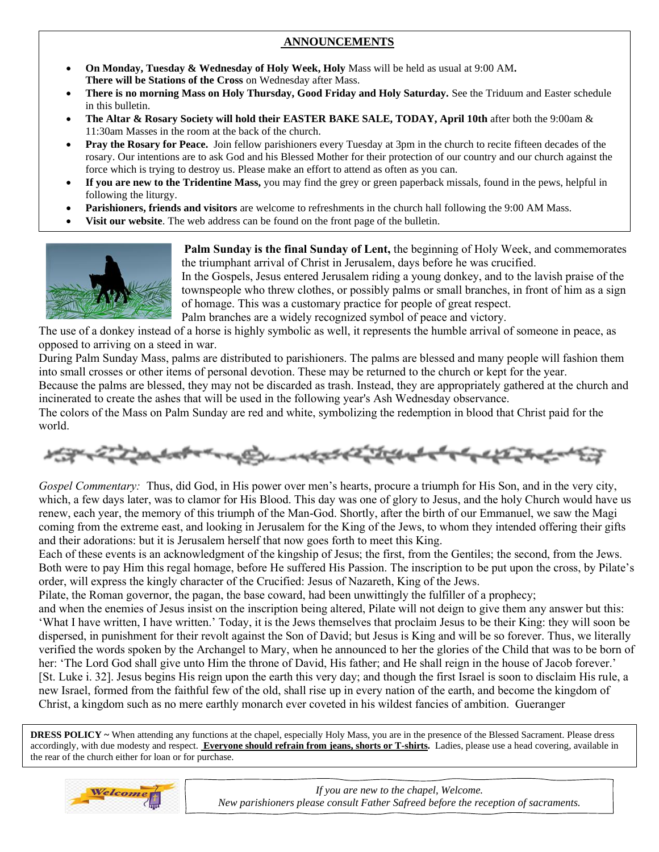# **ANNOUNCEMENTS**

- **On Monday, Tuesday & Wednesday of Holy Week, Holy** Mass will be held as usual at 9:00 AM**. There will be Stations of the Cross** on Wednesday after Mass.
- **There is no morning Mass on Holy Thursday, Good Friday and Holy Saturday.** See the Triduum and Easter schedule in this bulletin.
- **The Altar & Rosary Society will hold their EASTER BAKE SALE, TODAY, April 10th** after both the 9:00am & 11:30am Masses in the room at the back of the church.
- **Pray the Rosary for Peace.** Join fellow parishioners every Tuesday at 3pm in the church to recite fifteen decades of the rosary. Our intentions are to ask God and his Blessed Mother for their protection of our country and our church against the force which is trying to destroy us. Please make an effort to attend as often as you can.
- **If you are new to the Tridentine Mass,** you may find the grey or green paperback missals, found in the pews, helpful in following the liturgy.
- **Parishioners, friends and visitors** are welcome to refreshments in the church hall following the 9:00 AM Mass.
- **Visit our website**. The web address can be found on the front page of the bulletin.



**Palm Sunday is the final Sunday of Lent,** the beginning of Holy Week, and commemorates the triumphant arrival of Christ in Jerusalem, days before he was crucified.

In the Gospels, Jesus entered Jerusalem riding a young donkey, and to the lavish praise of the townspeople who threw clothes, or possibly palms or small branches, in front of him as a sign of homage. This was a customary practice for people of great respect.

Palm branches are a widely recognized symbol of peace and victory.

The use of a donkey instead of a horse is highly symbolic as well, it represents the humble arrival of someone in peace, as opposed to arriving on a steed in war.

During Palm Sunday Mass, palms are distributed to parishioners. The palms are blessed and many people will fashion them into small crosses or other items of personal devotion. These may be returned to the church or kept for the year.

Because the palms are blessed, they may not be discarded as trash. Instead, they are appropriately gathered at the church and incinerated to create the ashes that will be used in the following year's Ash Wednesday observance.

The colors of the Mass on Palm Sunday are red and white, symbolizing the redemption in blood that Christ paid for the world.

$$
\mu_{\text{eff}}^{\text{eff}} = \frac{1}{2} \sum_{i} \mu_{\text{eff}}^{\text{eff}} \left( \mu_{\text{eff}}^{\text{eff}} + \mu_{\text{eff}}^{\text{eff}} \right) \left( \mu_{\text{eff}}^{\text{eff}} + \mu_{\text{eff}}^{\text{eff}} + \mu_{\text{eff}}^{\text{eff}} \right) \left( \mu_{\text{eff}}^{\text{eff}} + \mu_{\text{eff}}^{\text{eff}} + \mu_{\text{eff}}^{\text{eff}} \right) \left( \mu_{\text{eff}}^{\text{eff}} + \mu_{\text{eff}}^{\text{eff}} \right) \left( \mu_{\text{eff}}^{\text{eff}} + \mu_{\text{eff}}^{\text{eff}} \right) \left( \mu_{\text{eff}}^{\text{eff}} + \mu_{\text{eff}}^{\text{eff}} \right) \left( \mu_{\text{eff}}^{\text{eff}} + \mu_{\text{eff}}^{\text{eff}} \right) \left( \mu_{\text{eff}}^{\text{eff}} + \mu_{\text{eff}}^{\text{eff}} \right) \left( \mu_{\text{eff}}^{\text{eff}} + \mu_{\text{eff}}^{\text{eff}} \right) \left( \mu_{\text{eff}}^{\text{eff}} + \mu_{\text{eff}}^{\text{eff}} \right) \left( \mu_{\text{eff}}^{\text{eff}} + \mu_{\text{eff}}^{\text{eff}} \right) \left( \mu_{\text{eff}}^{\text{eff}} + \mu_{\text{eff}}^{\text{eff}} \right) \left( \mu_{\text{eff}}^{\text{eff}} + \mu_{\text{eff}}^{\text{eff}} \right) \left( \mu_{\text{eff}}^{\text{eff}} + \mu_{\text{eff}}^{\text{eff}} \right) \left( \mu_{\text{eff}}^{\text{eff}} + \mu_{\text{eff}}^{\text{eff}} \right) \left( \mu_{\text{eff}}^{\text{eff}} + \mu_{\text{eff}}^{\text{eff}} \right) \left( \mu_{\text{eff}}^{\text{eff}} + \mu_{\text{eff}}^{\text{eff}} \right) \left( \mu_{\text{eff}}^{\text{eff}} + \mu_{\text{eff}}^{\text{eff}} \right) \left( \mu_{\text{eff}}^{\text{eff}} + \mu_{\text{eff}}^{\text{eff}} \right) \left( \mu_{\text{eff}}^{\text{eff}} + \mu_{\text{
$$

*Gospel Commentary:* Thus, did God, in His power over men's hearts, procure a triumph for His Son, and in the very city, which, a few days later, was to clamor for His Blood. This day was one of glory to Jesus, and the holy Church would have us renew, each year, the memory of this triumph of the Man-God. Shortly, after the birth of our Emmanuel, we saw the Magi coming from the extreme east, and looking in Jerusalem for the King of the Jews, to whom they intended offering their gifts and their adorations: but it is Jerusalem herself that now goes forth to meet this King.

Each of these events is an acknowledgment of the kingship of Jesus; the first, from the Gentiles; the second, from the Jews. Both were to pay Him this regal homage, before He suffered His Passion. The inscription to be put upon the cross, by Pilate's order, will express the kingly character of the Crucified: Jesus of Nazareth, King of the Jews.

Pilate, the Roman governor, the pagan, the base coward, had been unwittingly the fulfiller of a prophecy;

and when the enemies of Jesus insist on the inscription being altered, Pilate will not deign to give them any answer but this: 'What I have written, I have written.' Today, it is the Jews themselves that proclaim Jesus to be their King: they will soon be dispersed, in punishment for their revolt against the Son of David; but Jesus is King and will be so forever. Thus, we literally verified the words spoken by the Archangel to Mary, when he announced to her the glories of the Child that was to be born of her: 'The Lord God shall give unto Him the throne of David, His father; and He shall reign in the house of Jacob forever.' [St. Luke i. 32]. Jesus begins His reign upon the earth this very day; and though the first Israel is soon to disclaim His rule, a new Israel, formed from the faithful few of the old, shall rise up in every nation of the earth, and become the kingdom of Christ, a kingdom such as no mere earthly monarch ever coveted in his wildest fancies of ambition. Gueranger

**DRESS POLICY** ~ When attending any functions at the chapel, especially Holy Mass, you are in the presence of the Blessed Sacrament. Please dress accordingly, with due modesty and respect. **Everyone should refrain from jeans, shorts or T-shirts.** Ladies, please use a head covering, available in the rear of the church either for loan or for purchase.



*If you are new to the chapel, Welcome. New parishioners please consult Father Safreed before the reception of sacraments.*